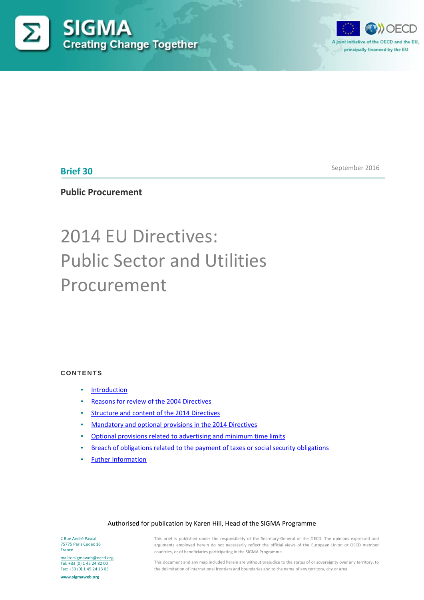



**Brief 30**

September 2016

**Public Procurement**

# 2014 EU Directives: Public Sector and Utilities Procurement

# **CONTENTS**

- [Introduction](#page-1-0)
- [Reasons for review of the 2004 Directives](#page-1-1)
- [Structure and content of the 2014 Directives](#page-2-0)
- [Mandatory and optional provisions in the 2014 Directives](#page-2-1)
- [Optional provisions related to advertising and minimum time limits](#page-9-0)
- [Breach of obligations related to the payment of taxes or social security obligations](#page-19-0)
- [Futher Information](#page-26-0)

## Authorised for publication by Karen Hill, Head of the SIGMA Programme

2 Rue André Pascal 75775 Paris Cedex 16 France

<mailto:sigmaweb@oecd.org> Tel: +33 (0) 1 45 24 82 00 Fax: +33 (0) 1 45 24 13 05

**[www.sigmaweb.org](http://www.sigmaweb.org/)**

This brief is published under the responsibility of the Secretary-General of the OECD. The opinions expressed and arguments employed herein do not necessarily reflect the official views of the European Union or OECD member countries, or of beneficiaries participating in the SIGMA Programme.

This document and any map included herein are without prejudice to the status of or sovereignty over any territory, to the delimitation of international frontiers and boundaries and to the name of any territory, city or area.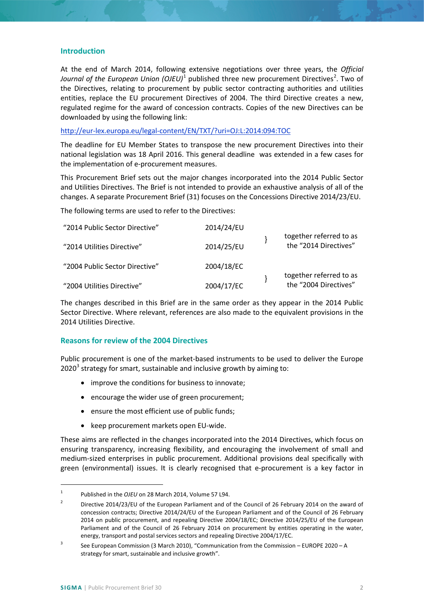# <span id="page-1-0"></span>**Introduction**

At the end of March 2014, following extensive negotiations over three years, the *Official*  Journal of the European Union (OJEU)<sup>[1](#page-1-2)</sup> published three new procurement Directives<sup>[2](#page-1-3)</sup>. Two of the Directives, relating to procurement by public sector contracting authorities and utilities entities, replace the EU procurement Directives of 2004. The third Directive creates a new, regulated regime for the award of concession contracts. Copies of the new Directives can be downloaded by using the following link:

<http://eur-lex.europa.eu/legal-content/EN/TXT/?uri=OJ:L:2014:094:TOC>

The deadline for EU Member States to transpose the new procurement Directives into their national legislation was 18 April 2016. This general deadline was extended in a few cases for the implementation of e-procurement measures.

This Procurement Brief sets out the major changes incorporated into the 2014 Public Sector and Utilities Directives. The Brief is not intended to provide an exhaustive analysis of all of the changes. A separate Procurement Brief (31) focuses on the Concessions Directive 2014/23/EU.

The following terms are used to refer to the Directives:

| "2014 Public Sector Directive" | 2014/24/EU |                                                  |
|--------------------------------|------------|--------------------------------------------------|
| "2014 Utilities Directive"     | 2014/25/EU | together referred to as<br>the "2014 Directives" |
| "2004 Public Sector Directive" | 2004/18/EC |                                                  |
| "2004 Utilities Directive"     | 2004/17/EC | together referred to as<br>the "2004 Directives" |

The changes described in this Brief are in the same order as they appear in the 2014 Public Sector Directive. Where relevant, references are also made to the equivalent provisions in the 2014 Utilities Directive.

# <span id="page-1-1"></span>**Reasons for review of the 2004 Directives**

Public procurement is one of the market-based instruments to be used to deliver the Europe  $2020<sup>3</sup>$  $2020<sup>3</sup>$  $2020<sup>3</sup>$  strategy for smart, sustainable and inclusive growth by aiming to:

- improve the conditions for business to innovate;
- encourage the wider use of green procurement;
- ensure the most efficient use of public funds;
- keep procurement markets open EU-wide.

These aims are reflected in the changes incorporated into the 2014 Directives, which focus on ensuring transparency, increasing flexibility, and encouraging the involvement of small and medium-sized enterprises in public procurement. Additional provisions deal specifically with green (environmental) issues. It is clearly recognised that e-procurement is a key factor in

<span id="page-1-2"></span><sup>&</sup>lt;sup>1</sup> Published in the *OJEU* on 28 March 2014, Volume 57 L94.

<span id="page-1-3"></span><sup>&</sup>lt;sup>2</sup> Directive 2014/23/EU of the European Parliament and of the Council of 26 February 2014 on the award of concession contracts; Directive 2014/24/EU of the European Parliament and of the Council of 26 February 2014 on public procurement, and repealing Directive 2004/18/EC; Directive 2014/25/EU of the European Parliament and of the Council of 26 February 2014 on procurement by entities operating in the water, energy, transport and postal services sectors and repealing Directive 2004/17/EC.

<span id="page-1-4"></span><sup>&</sup>lt;sup>3</sup> See European Commission (3 March 2010), "Communication from the Commission – EUROPE 2020 – A strategy for smart, sustainable and inclusive growth".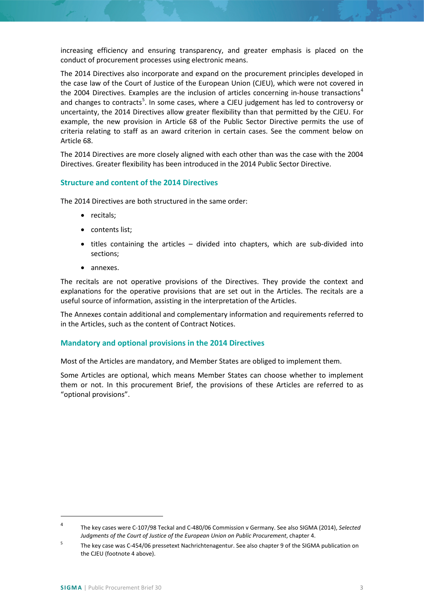increasing efficiency and ensuring transparency, and greater emphasis is placed on the conduct of procurement processes using electronic means.

The 2014 Directives also incorporate and expand on the procurement principles developed in the case law of the Court of Justice of the European Union (CJEU), which were not covered in the 200[4](#page-2-2) Directives. Examples are the inclusion of articles concerning in-house transactions<sup>4</sup> and changes to contracts<sup>[5](#page-2-3)</sup>. In some cases, where a CJEU judgement has led to controversy or uncertainty, the 2014 Directives allow greater flexibility than that permitted by the CJEU. For example, the new provision in Article 68 of the Public Sector Directive permits the use of criteria relating to staff as an award criterion in certain cases. See the comment below on Article 68.

The 2014 Directives are more closely aligned with each other than was the case with the 2004 Directives. Greater flexibility has been introduced in the 2014 Public Sector Directive.

# <span id="page-2-0"></span>**Structure and content of the 2014 Directives**

The 2014 Directives are both structured in the same order:

- recitals;
- contents list;
- titles containing the articles divided into chapters, which are sub-divided into sections;
- annexes.

The recitals are not operative provisions of the Directives. They provide the context and explanations for the operative provisions that are set out in the Articles. The recitals are a useful source of information, assisting in the interpretation of the Articles.

The Annexes contain additional and complementary information and requirements referred to in the Articles, such as the content of Contract Notices.

## <span id="page-2-1"></span>**Mandatory and optional provisions in the 2014 Directives**

Most of the Articles are mandatory, and Member States are obliged to implement them.

Some Articles are optional, which means Member States can choose whether to implement them or not. In this procurement Brief, the provisions of these Articles are referred to as "optional provisions".

 $\overline{\phantom{a}}$ 

<span id="page-2-2"></span><sup>4</sup> The key cases were C-107/98 Teckal and C-480/06 Commission v Germany. See also SIGMA (2014), *Selected Judgments of the Court of Justice of the European Union on Public Procurement*, chapter 4.

<span id="page-2-3"></span><sup>&</sup>lt;sup>5</sup> The key case was C-454/06 pressetext Nachrichtenagentur. See also chapter 9 of the SIGMA publication on the CJEU (footnote 4 above).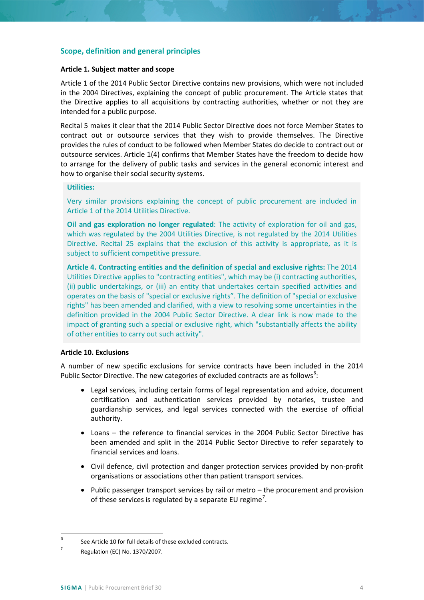# **Scope, definition and general principles**

## **Article 1. Subject matter and scope**

Article 1 of the 2014 Public Sector Directive contains new provisions, which were not included in the 2004 Directives, explaining the concept of public procurement. The Article states that the Directive applies to all acquisitions by contracting authorities, whether or not they are intended for a public purpose.

Recital 5 makes it clear that the 2014 Public Sector Directive does not force Member States to contract out or outsource services that they wish to provide themselves. The Directive provides the rules of conduct to be followed when Member States do decide to contract out or outsource services. Article 1(4) confirms that Member States have the freedom to decide how to arrange for the delivery of public tasks and services in the general economic interest and how to organise their social security systems.

## **Utilities:**

Very similar provisions explaining the concept of public procurement are included in Article 1 of the 2014 Utilities Directive.

**Oil and gas exploration no longer regulated**: The activity of exploration for oil and gas, which was regulated by the 2004 Utilities Directive, is not regulated by the 2014 Utilities Directive. Recital 25 explains that the exclusion of this activity is appropriate, as it is subject to sufficient competitive pressure.

**Article 4. Contracting entities and the definition of special and exclusive rights:** The 2014 Utilities Directive applies to "contracting entities", which may be (i) contracting authorities, (ii) public undertakings, or (iii) an entity that undertakes certain specified activities and operates on the basis of "special or exclusive rights". The definition of "special or exclusive rights" has been amended and clarified, with a view to resolving some uncertainties in the definition provided in the 2004 Public Sector Directive. A clear link is now made to the impact of granting such a special or exclusive right, which "substantially affects the ability of other entities to carry out such activity".

# **Article 10. Exclusions**

A number of new specific exclusions for service contracts have been included in the 2014 Public Sector Directive. The new categories of excluded contracts are as follows<sup>[6](#page-3-0)</sup>:

- Legal services, including certain forms of legal representation and advice, document certification and authentication services provided by notaries, trustee and guardianship services, and legal services connected with the exercise of official authority.
- Loans the reference to financial services in the 2004 Public Sector Directive has been amended and split in the 2014 Public Sector Directive to refer separately to financial services and loans.
- Civil defence, civil protection and danger protection services provided by non-profit organisations or associations other than patient transport services.
- Public passenger transport services by rail or metro the procurement and provision of these services is regulated by a separate EU regime<sup>[7](#page-3-1)</sup>.

<span id="page-3-0"></span> $6$  See Article 10 for full details of these excluded contracts.

<span id="page-3-1"></span> $7$  Regulation (EC) No. 1370/2007.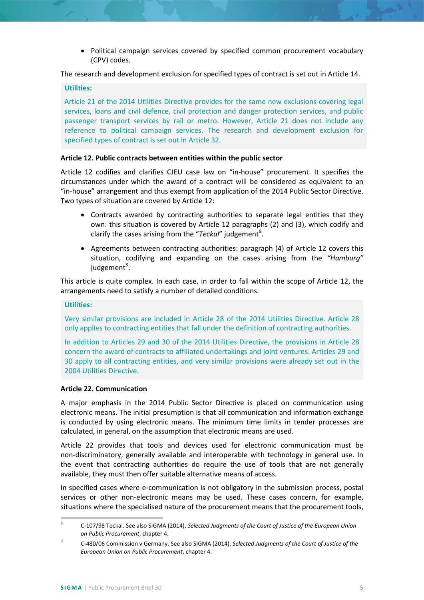• Political campaign services covered by specified common procurement vocabulary (CPV) codes.

The research and development exclusion for specified types of contract is set out in Article 14.

## **Utilities:**

Article 21 of the 2014 Utilities Directive provides for the same new exclusions covering legal services, loans and civil defence, civil protection and danger protection services, and public passenger transport services by rail or metro. However, Article 21 does not include any reference to political campaign services. The research and development exclusion for specified types of contract is set out in Article 32.

## **Article 12. Public contracts between entities within the public sector**

Article 12 codifies and clarifies CJEU case law on "in-house" procurement. It specifies the circumstances under which the award of a contract will be considered as equivalent to an "in-house" arrangement and thus exempt from application of the 2014 Public Sector Directive. Two types of situation are covered by Article 12:

- Contracts awarded by contracting authorities to separate legal entities that they own: this situation is covered by Article 12 paragraphs (2) and (3), which codify and clarify the cases arising from the "*Teckal*" judgement<sup>[8](#page-4-0)</sup>.
- Agreements between contracting authorities: paragraph (4) of Article 12 covers this situation, codifying and expanding on the cases arising from the *"Hamburg"*  judgement*[9](#page-4-1)* .

This article is quite complex. In each case, in order to fall within the scope of Article 12, the arrangements need to satisfy a number of detailed conditions.

## **Utilities:**

Very similar provisions are included in Article 28 of the 2014 Utilities Directive. Article 28 only applies to contracting entities that fall under the definition of contracting authorities.

In addition to Articles 29 and 30 of the 2014 Utilities Directive, the provisions in Article 28 concern the award of contracts to affiliated undertakings and joint ventures. Articles 29 and 30 apply to all contracting entities, and very similar provisions were already set out in the 2004 Utilities Directive.

## **Article 22. Communication**

A major emphasis in the 2014 Public Sector Directive is placed on communication using electronic means. The initial presumption is that all communication and information exchange is conducted by using electronic means. The minimum time limits in tender processes are calculated, in general, on the assumption that electronic means are used.

Article 22 provides that tools and devices used for electronic communication must be non-discriminatory, generally available and interoperable with technology in general use. In the event that contracting authorities do require the use of tools that are not generally available, they must then offer suitable alternative means of access.

In specified cases where e-communication is not obligatory in the submission process, postal services or other non-electronic means may be used. These cases concern, for example, situations where the specialised nature of the procurement means that the procurement tools,

<span id="page-4-0"></span> <sup>8</sup> C-107/98 Teckal. See also SIGMA (2014), *Selected Judgments of the Court of Justice of the European Union on Public Procurement*, chapter 4.

<span id="page-4-1"></span><sup>9</sup> C-480/06 Commission v Germany. See also SIGMA (2014), *Selected Judgments of the Court of Justice of the European Union on Public Procurement*, chapter 4.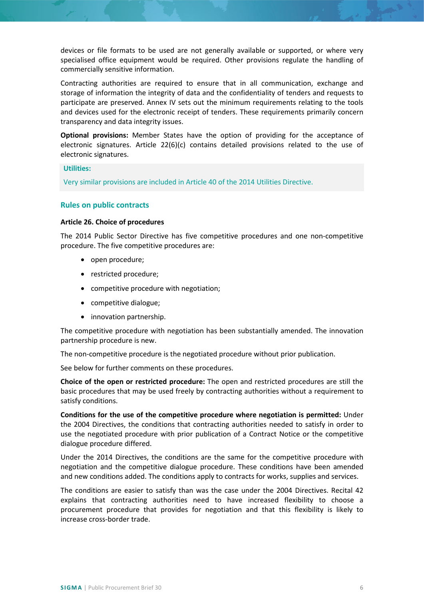devices or file formats to be used are not generally available or supported, or where very specialised office equipment would be required. Other provisions regulate the handling of commercially sensitive information.

Contracting authorities are required to ensure that in all communication, exchange and storage of information the integrity of data and the confidentiality of tenders and requests to participate are preserved. Annex IV sets out the minimum requirements relating to the tools and devices used for the electronic receipt of tenders. These requirements primarily concern transparency and data integrity issues.

**Optional provisions:** Member States have the option of providing for the acceptance of electronic signatures. Article  $22(6)(c)$  contains detailed provisions related to the use of electronic signatures.

#### **Utilities:**

Very similar provisions are included in Article 40 of the 2014 Utilities Directive.

## **Rules on public contracts**

## **Article 26. Choice of procedures**

The 2014 Public Sector Directive has five competitive procedures and one non-competitive procedure. The five competitive procedures are:

- open procedure;
- restricted procedure;
- competitive procedure with negotiation;
- competitive dialogue;
- innovation partnership.

The competitive procedure with negotiation has been substantially amended. The innovation partnership procedure is new.

The non-competitive procedure is the negotiated procedure without prior publication.

See below for further comments on these procedures.

**Choice of the open or restricted procedure:** The open and restricted procedures are still the basic procedures that may be used freely by contracting authorities without a requirement to satisfy conditions.

**Conditions for the use of the competitive procedure where negotiation is permitted:** Under the 2004 Directives, the conditions that contracting authorities needed to satisfy in order to use the negotiated procedure with prior publication of a Contract Notice or the competitive dialogue procedure differed.

Under the 2014 Directives, the conditions are the same for the competitive procedure with negotiation and the competitive dialogue procedure. These conditions have been amended and new conditions added. The conditions apply to contracts for works, supplies and services.

The conditions are easier to satisfy than was the case under the 2004 Directives. Recital 42 explains that contracting authorities need to have increased flexibility to choose a procurement procedure that provides for negotiation and that this flexibility is likely to increase cross-border trade.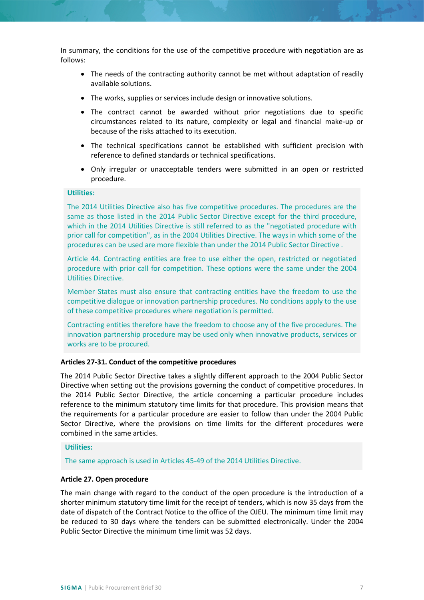In summary, the conditions for the use of the competitive procedure with negotiation are as follows:

- The needs of the contracting authority cannot be met without adaptation of readily available solutions.
- The works, supplies or services include design or innovative solutions.
- The contract cannot be awarded without prior negotiations due to specific circumstances related to its nature, complexity or legal and financial make-up or because of the risks attached to its execution.
- The technical specifications cannot be established with sufficient precision with reference to defined standards or technical specifications.
- Only irregular or unacceptable tenders were submitted in an open or restricted procedure.

# **Utilities:**

The 2014 Utilities Directive also has five competitive procedures. The procedures are the same as those listed in the 2014 Public Sector Directive except for the third procedure, which in the 2014 Utilities Directive is still referred to as the "negotiated procedure with prior call for competition", as in the 2004 Utilities Directive. The ways in which some of the procedures can be used are more flexible than under the 2014 Public Sector Directive .

Article 44. Contracting entities are free to use either the open, restricted or negotiated procedure with prior call for competition. These options were the same under the 2004 Utilities Directive.

Member States must also ensure that contracting entities have the freedom to use the competitive dialogue or innovation partnership procedures. No conditions apply to the use of these competitive procedures where negotiation is permitted.

Contracting entities therefore have the freedom to choose any of the five procedures. The innovation partnership procedure may be used only when innovative products, services or works are to be procured.

#### **Articles 27-31. Conduct of the competitive procedures**

The 2014 Public Sector Directive takes a slightly different approach to the 2004 Public Sector Directive when setting out the provisions governing the conduct of competitive procedures. In the 2014 Public Sector Directive, the article concerning a particular procedure includes reference to the minimum statutory time limits for that procedure. This provision means that the requirements for a particular procedure are easier to follow than under the 2004 Public Sector Directive, where the provisions on time limits for the different procedures were combined in the same articles.

#### **Utilities:**

The same approach is used in Articles 45-49 of the 2014 Utilities Directive.

## **Article 27. Open procedure**

The main change with regard to the conduct of the open procedure is the introduction of a shorter minimum statutory time limit for the receipt of tenders, which is now 35 days from the date of dispatch of the Contract Notice to the office of the OJEU. The minimum time limit may be reduced to 30 days where the tenders can be submitted electronically. Under the 2004 Public Sector Directive the minimum time limit was 52 days.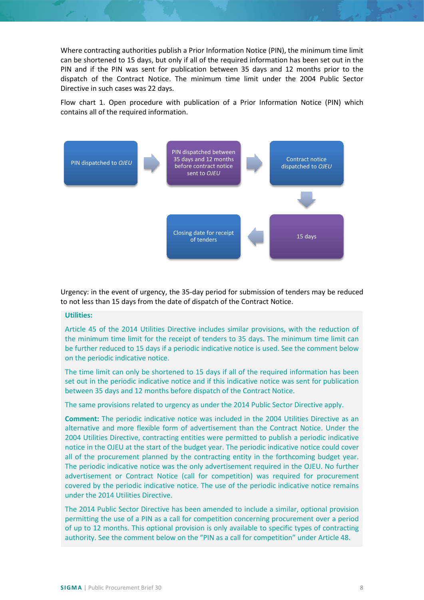Where contracting authorities publish a Prior Information Notice (PIN), the minimum time limit can be shortened to 15 days, but only if all of the required information has been set out in the PIN and if the PIN was sent for publication between 35 days and 12 months prior to the dispatch of the Contract Notice. The minimum time limit under the 2004 Public Sector Directive in such cases was 22 days.

Flow chart 1. Open procedure with publication of a Prior Information Notice (PIN) which contains all of the required information.



Urgency: in the event of urgency, the 35-day period for submission of tenders may be reduced to not less than 15 days from the date of dispatch of the Contract Notice.

## **Utilities:**

Article 45 of the 2014 Utilities Directive includes similar provisions, with the reduction of the minimum time limit for the receipt of tenders to 35 days. The minimum time limit can be further reduced to 15 days if a periodic indicative notice is used. See the comment below on the periodic indicative notice.

The time limit can only be shortened to 15 days if all of the required information has been set out in the periodic indicative notice and if this indicative notice was sent for publication between 35 days and 12 months before dispatch of the Contract Notice.

The same provisions related to urgency as under the 2014 Public Sector Directive apply.

**Comment:** The periodic indicative notice was included in the 2004 Utilities Directive as an alternative and more flexible form of advertisement than the Contract Notice. Under the 2004 Utilities Directive, contracting entities were permitted to publish a periodic indicative notice in the OJEU at the start of the budget year. The periodic indicative notice could cover all of the procurement planned by the contracting entity in the forthcoming budget year. The periodic indicative notice was the only advertisement required in the OJEU. No further advertisement or Contract Notice (call for competition) was required for procurement covered by the periodic indicative notice. The use of the periodic indicative notice remains under the 2014 Utilities Directive.

The 2014 Public Sector Directive has been amended to include a similar, optional provision permitting the use of a PIN as a call for competition concerning procurement over a period of up to 12 months. This optional provision is only available to specific types of contracting authority. See the comment below on the "PIN as a call for competition" under Article 48.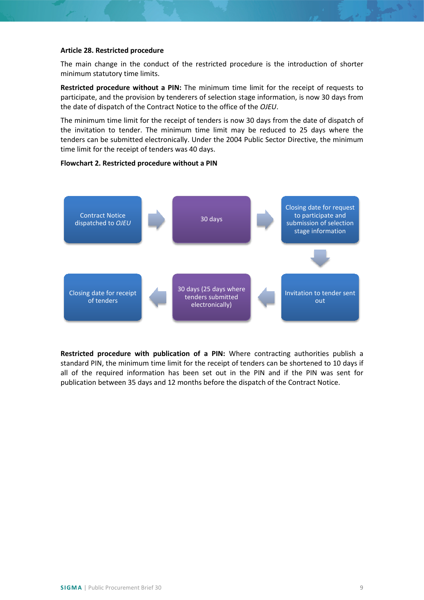## **Article 28. Restricted procedure**

The main change in the conduct of the restricted procedure is the introduction of shorter minimum statutory time limits.

**Restricted procedure without a PIN:** The minimum time limit for the receipt of requests to participate, and the provision by tenderers of selection stage information, is now 30 days from the date of dispatch of the Contract Notice to the office of the *OJEU*.

The minimum time limit for the receipt of tenders is now 30 days from the date of dispatch of the invitation to tender. The minimum time limit may be reduced to 25 days where the tenders can be submitted electronically. Under the 2004 Public Sector Directive, the minimum time limit for the receipt of tenders was 40 days.

## **Flowchart 2. Restricted procedure without a PIN**



**Restricted procedure with publication of a PIN:** Where contracting authorities publish a standard PIN, the minimum time limit for the receipt of tenders can be shortened to 10 days if all of the required information has been set out in the PIN and if the PIN was sent for publication between 35 days and 12 months before the dispatch of the Contract Notice.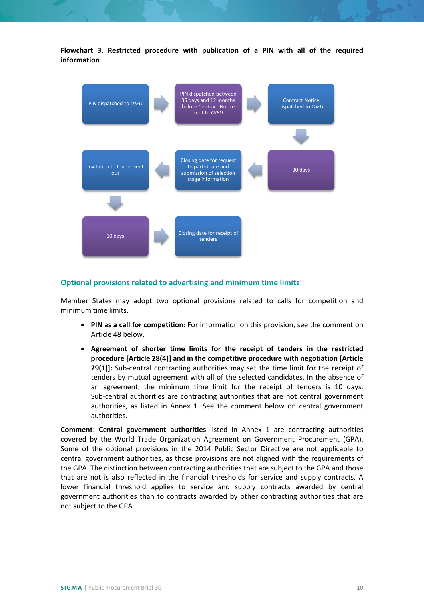**Flowchart 3. Restricted procedure with publication of a PIN with all of the required information**



## <span id="page-9-0"></span>**Optional provisions related to advertising and minimum time limits**

Member States may adopt two optional provisions related to calls for competition and minimum time limits.

- **PIN as a call for competition:** For information on this provision, see the comment on Article 48 below.
- **Agreement of shorter time limits for the receipt of tenders in the restricted procedure [Article 28(4)] and in the competitive procedure with negotiation [Article 29(1)]:** Sub-central contracting authorities may set the time limit for the receipt of tenders by mutual agreement with all of the selected candidates. In the absence of an agreement, the minimum time limit for the receipt of tenders is 10 days. Sub-central authorities are contracting authorities that are not central government authorities, as listed in Annex 1. See the comment below on central government authorities.

**Comment**: **Central government authorities** listed in Annex 1 are contracting authorities covered by the World Trade Organization Agreement on Government Procurement (GPA). Some of the optional provisions in the 2014 Public Sector Directive are not applicable to central government authorities, as those provisions are not aligned with the requirements of the GPA. The distinction between contracting authorities that are subject to the GPA and those that are not is also reflected in the financial thresholds for service and supply contracts. A lower financial threshold applies to service and supply contracts awarded by central government authorities than to contracts awarded by other contracting authorities that are not subject to the GPA.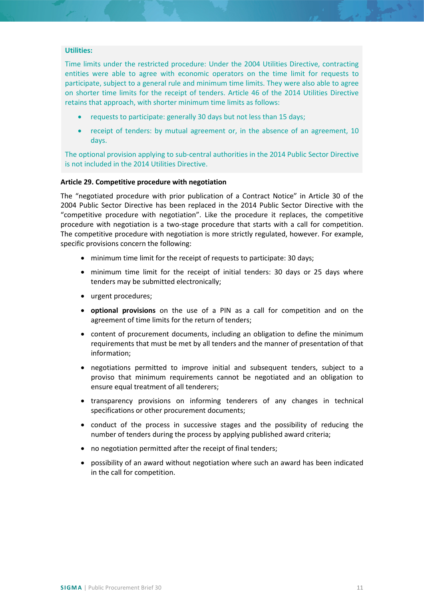## **Utilities:**

Time limits under the restricted procedure: Under the 2004 Utilities Directive, contracting entities were able to agree with economic operators on the time limit for requests to participate, subject to a general rule and minimum time limits. They were also able to agree on shorter time limits for the receipt of tenders. Article 46 of the 2014 Utilities Directive retains that approach, with shorter minimum time limits as follows:

- requests to participate: generally 30 days but not less than 15 days;
- receipt of tenders: by mutual agreement or, in the absence of an agreement, 10 days.

The optional provision applying to sub-central authorities in the 2014 Public Sector Directive is not included in the 2014 Utilities Directive.

#### **Article 29. Competitive procedure with negotiation**

The "negotiated procedure with prior publication of a Contract Notice" in Article 30 of the 2004 Public Sector Directive has been replaced in the 2014 Public Sector Directive with the "competitive procedure with negotiation". Like the procedure it replaces, the competitive procedure with negotiation is a two-stage procedure that starts with a call for competition. The competitive procedure with negotiation is more strictly regulated, however. For example, specific provisions concern the following:

- minimum time limit for the receipt of requests to participate: 30 days;
- minimum time limit for the receipt of initial tenders: 30 days or 25 days where tenders may be submitted electronically;
- urgent procedures;
- **optional provisions** on the use of a PIN as a call for competition and on the agreement of time limits for the return of tenders;
- content of procurement documents, including an obligation to define the minimum requirements that must be met by all tenders and the manner of presentation of that information;
- negotiations permitted to improve initial and subsequent tenders, subject to a proviso that minimum requirements cannot be negotiated and an obligation to ensure equal treatment of all tenderers;
- transparency provisions on informing tenderers of any changes in technical specifications or other procurement documents;
- conduct of the process in successive stages and the possibility of reducing the number of tenders during the process by applying published award criteria;
- no negotiation permitted after the receipt of final tenders;
- possibility of an award without negotiation where such an award has been indicated in the call for competition.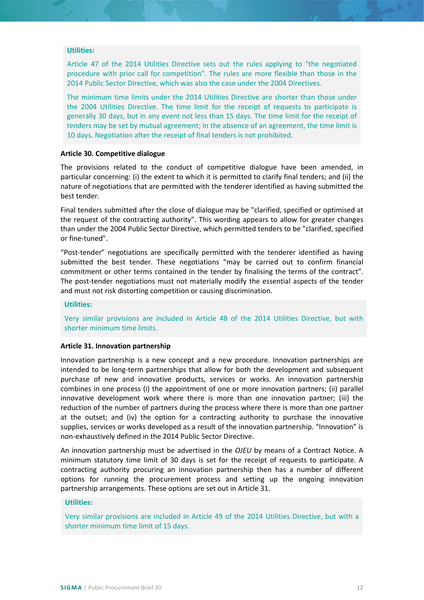## **Utilities:**

Article 47 of the 2014 Utilities Directive sets out the rules applying to "the negotiated procedure with prior call for competition". The rules are more flexible than those in the 2014 Public Sector Directive, which was also the case under the 2004 Directives.

The minimum time limits under the 2014 Utilities Directive are shorter than those under the 2004 Utilities Directive. The time limit for the receipt of requests to participate is generally 30 days, but in any event not less than 15 days. The time limit for the receipt of tenders may be set by mutual agreement; in the absence of an agreement, the time limit is 10 days. Negotiation after the receipt of final tenders is not prohibited.

#### **Article 30. Competitive dialogue**

The provisions related to the conduct of competitive dialogue have been amended, in particular concerning: (i) the extent to which it is permitted to clarify final tenders; and (ii) the nature of negotiations that are permitted with the tenderer identified as having submitted the best tender.

Final tenders submitted after the close of dialogue may be "clarified, specified or optimised at the request of the contracting authority". This wording appears to allow for greater changes than under the 2004 Public Sector Directive, which permitted tenders to be "clarified, specified or fine-tuned".

"Post-tender" negotiations are specifically permitted with the tenderer identified as having submitted the best tender. These negotiations "may be carried out to confirm financial commitment or other terms contained in the tender by finalising the terms of the contract". The post-tender negotiations must not materially modify the essential aspects of the tender and must not risk distorting competition or causing discrimination.

#### **Utilities:**

Very similar provisions are included in Article 48 of the 2014 Utilities Directive, but with shorter minimum time limits.

## **Article 31. Innovation partnership**

Innovation partnership is a new concept and a new procedure. Innovation partnerships are intended to be long-term partnerships that allow for both the development and subsequent purchase of new and innovative products, services or works. An innovation partnership combines in one process (i) the appointment of one or more innovation partners; (ii) parallel innovative development work where there is more than one innovation partner; (iii) the reduction of the number of partners during the process where there is more than one partner at the outset; and (iv) the option for a contracting authority to purchase the innovative supplies, services or works developed as a result of the innovation partnership. "Innovation" is non-exhaustively defined in the 2014 Public Sector Directive.

An innovation partnership must be advertised in the *OJEU* by means of a Contract Notice. A minimum statutory time limit of 30 days is set for the receipt of requests to participate. A contracting authority procuring an innovation partnership then has a number of different options for running the procurement process and setting up the ongoing innovation partnership arrangements. These options are set out in Article 31.

#### **Utilities:**

Very similar provisions are included in Article 49 of the 2014 Utilities Directive, but with a shorter minimum time limit of 15 days.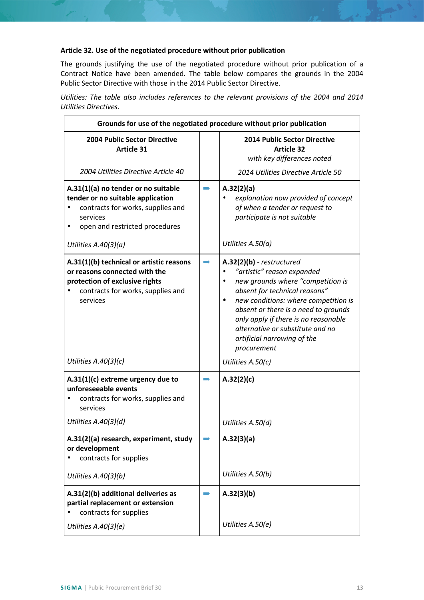# **Article 32. Use of the negotiated procedure without prior publication**

The grounds justifying the use of the negotiated procedure without prior publication of a Contract Notice have been amended. The table below compares the grounds in the 2004 Public Sector Directive with those in the 2014 Public Sector Directive.

*Utilities: The table also includes references to the relevant provisions of the 2004 and 2014 Utilities Directives.*

| Grounds for use of the negotiated procedure without prior publication                                                                                        |               |                                                                                                                                                                                                                                                                                                                                                                     |  |
|--------------------------------------------------------------------------------------------------------------------------------------------------------------|---------------|---------------------------------------------------------------------------------------------------------------------------------------------------------------------------------------------------------------------------------------------------------------------------------------------------------------------------------------------------------------------|--|
| <b>2004 Public Sector Directive</b><br><b>Article 31</b>                                                                                                     |               | <b>2014 Public Sector Directive</b><br><b>Article 32</b><br>with key differences noted                                                                                                                                                                                                                                                                              |  |
| 2004 Utilities Directive Article 40                                                                                                                          |               | 2014 Utilities Directive Article 50                                                                                                                                                                                                                                                                                                                                 |  |
| A.31(1)(a) no tender or no suitable<br>tender or no suitable application<br>contracts for works, supplies and<br>services<br>open and restricted procedures  |               | A.32(2)(a)<br>explanation now provided of concept<br>of when a tender or request to<br>participate is not suitable                                                                                                                                                                                                                                                  |  |
| Utilities $A.40(3)(a)$                                                                                                                                       |               | Utilities A.50(a)                                                                                                                                                                                                                                                                                                                                                   |  |
| A.31(1)(b) technical or artistic reasons<br>or reasons connected with the<br>protection of exclusive rights<br>contracts for works, supplies and<br>services |               | $A.32(2)(b)$ - restructured<br>"artistic" reason expanded<br>new grounds where "competition is<br>$\bullet$<br>absent for technical reasons"<br>new conditions: where competition is<br>$\bullet$<br>absent or there is a need to grounds<br>only apply if there is no reasonable<br>alternative or substitute and no<br>artificial narrowing of the<br>procurement |  |
| Utilities $A.40(3)(c)$                                                                                                                                       |               | Utilities A.50(c)                                                                                                                                                                                                                                                                                                                                                   |  |
| A.31(1)(c) extreme urgency due to<br>unforeseeable events<br>contracts for works, supplies and<br>services                                                   |               | A.32(2)(c)                                                                                                                                                                                                                                                                                                                                                          |  |
| Utilities A.40(3)(d)                                                                                                                                         |               | Utilities A.50(d)                                                                                                                                                                                                                                                                                                                                                   |  |
| A.31(2)(a) research, experiment, study<br>or development<br>contracts for supplies                                                                           | $\Rightarrow$ | A.32(3)(a)                                                                                                                                                                                                                                                                                                                                                          |  |
| Utilities A.40(3)(b)                                                                                                                                         |               | Utilities A.50(b)                                                                                                                                                                                                                                                                                                                                                   |  |
| A.31(2)(b) additional deliveries as<br>partial replacement or extension<br>contracts for supplies                                                            |               | A.32(3)(b)                                                                                                                                                                                                                                                                                                                                                          |  |
| Utilities A.40(3)(e)                                                                                                                                         |               | Utilities A.50(e)                                                                                                                                                                                                                                                                                                                                                   |  |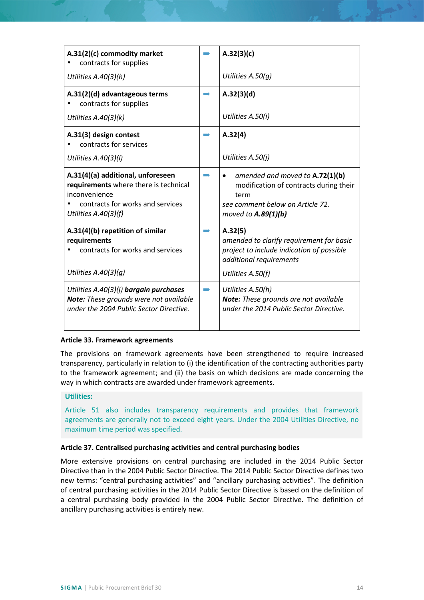| A.31(2)(c) commodity market<br>contracts for supplies                                                                                                   | A.32(3)(c)                                                                                                                                                  |
|---------------------------------------------------------------------------------------------------------------------------------------------------------|-------------------------------------------------------------------------------------------------------------------------------------------------------------|
| Utilities A.40(3)(h)                                                                                                                                    | Utilities A.50(q)                                                                                                                                           |
| A.31(2)(d) advantageous terms<br>contracts for supplies                                                                                                 | A.32(3)(d)                                                                                                                                                  |
| Utilities $A.40(3)(k)$                                                                                                                                  | Utilities A.50(i)                                                                                                                                           |
| A.31(3) design contest<br>contracts for services                                                                                                        | A.32(4)                                                                                                                                                     |
| Utilities A.40(3)(l)                                                                                                                                    | Utilities A.50(j)                                                                                                                                           |
| A.31(4)(a) additional, unforeseen<br>requirements where there is technical<br>inconvenience<br>contracts for works and services<br>Utilities A.40(3)(f) | amended and moved to A.72(1)(b)<br>$\bullet$<br>modification of contracts during their<br>term<br>see comment below on Article 72.<br>moved to $A.89(1)(b)$ |
| A.31(4)(b) repetition of similar<br>requirements<br>contracts for works and services<br>Utilities $A.40(3)(q)$                                          | A.32(5)<br>amended to clarify requirement for basic<br>project to include indication of possible<br>additional requirements<br>Utilities A.50(f)            |
| Utilities A.40(3)(j) bargain purchases<br>Note: These grounds were not available<br>under the 2004 Public Sector Directive.                             | Utilities A.50(h)<br><b>Note:</b> These grounds are not available<br>under the 2014 Public Sector Directive.                                                |

## **Article 33. Framework agreements**

The provisions on framework agreements have been strengthened to require increased transparency, particularly in relation to (i) the identification of the contracting authorities party to the framework agreement; and (ii) the basis on which decisions are made concerning the way in which contracts are awarded under framework agreements.

## **Utilities:**

Article 51 also includes transparency requirements and provides that framework agreements are generally not to exceed eight years. Under the 2004 Utilities Directive, no maximum time period was specified.

## **Article 37. Centralised purchasing activities and central purchasing bodies**

More extensive provisions on central purchasing are included in the 2014 Public Sector Directive than in the 2004 Public Sector Directive. The 2014 Public Sector Directive defines two new terms: "central purchasing activities" and "ancillary purchasing activities". The definition of central purchasing activities in the 2014 Public Sector Directive is based on the definition of a central purchasing body provided in the 2004 Public Sector Directive. The definition of ancillary purchasing activities is entirely new.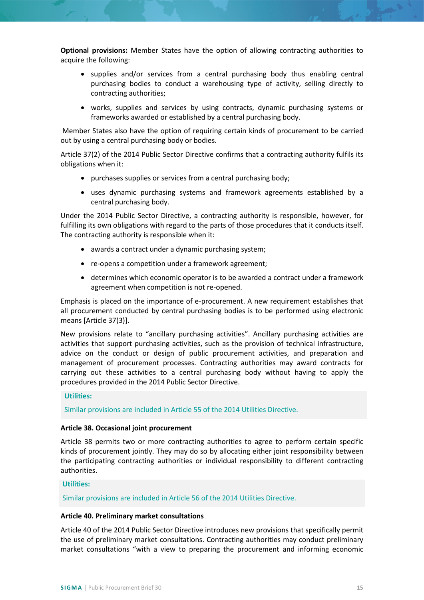**Optional provisions:** Member States have the option of allowing contracting authorities to acquire the following:

- supplies and/or services from a central purchasing body thus enabling central purchasing bodies to conduct a warehousing type of activity, selling directly to contracting authorities;
- works, supplies and services by using contracts, dynamic purchasing systems or frameworks awarded or established by a central purchasing body.

Member States also have the option of requiring certain kinds of procurement to be carried out by using a central purchasing body or bodies.

Article 37(2) of the 2014 Public Sector Directive confirms that a contracting authority fulfils its obligations when it:

- purchases supplies or services from a central purchasing body;
- uses dynamic purchasing systems and framework agreements established by a central purchasing body.

Under the 2014 Public Sector Directive, a contracting authority is responsible, however, for fulfilling its own obligations with regard to the parts of those procedures that it conducts itself. The contracting authority is responsible when it:

- awards a contract under a dynamic purchasing system;
- re-opens a competition under a framework agreement;
- determines which economic operator is to be awarded a contract under a framework agreement when competition is not re-opened.

Emphasis is placed on the importance of e-procurement. A new requirement establishes that all procurement conducted by central purchasing bodies is to be performed using electronic means [Article 37(3)].

New provisions relate to "ancillary purchasing activities". Ancillary purchasing activities are activities that support purchasing activities, such as the provision of technical infrastructure, advice on the conduct or design of public procurement activities, and preparation and management of procurement processes. Contracting authorities may award contracts for carrying out these activities to a central purchasing body without having to apply the procedures provided in the 2014 Public Sector Directive.

## **Utilities:**

Similar provisions are included in Article 55 of the 2014 Utilities Directive.

# **Article 38. Occasional joint procurement**

Article 38 permits two or more contracting authorities to agree to perform certain specific kinds of procurement jointly. They may do so by allocating either joint responsibility between the participating contracting authorities or individual responsibility to different contracting authorities.

## **Utilities:**

Similar provisions are included in Article 56 of the 2014 Utilities Directive.

## **Article 40. Preliminary market consultations**

Article 40 of the 2014 Public Sector Directive introduces new provisions that specifically permit the use of preliminary market consultations. Contracting authorities may conduct preliminary market consultations "with a view to preparing the procurement and informing economic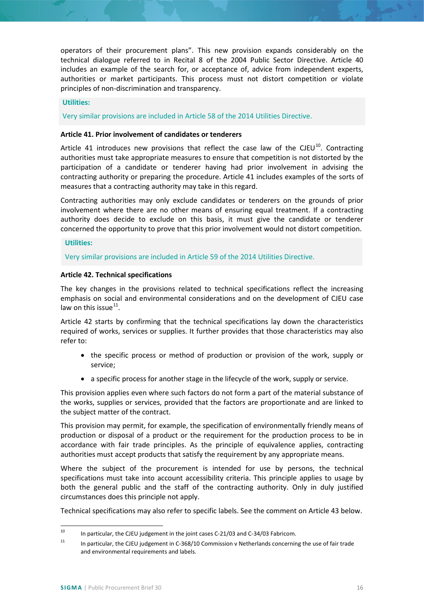operators of their procurement plans". This new provision expands considerably on the technical dialogue referred to in Recital 8 of the 2004 Public Sector Directive. Article 40 includes an example of the search for, or acceptance of, advice from independent experts, authorities or market participants. This process must not distort competition or violate principles of non-discrimination and transparency.

## **Utilities:**

Very similar provisions are included in Article 58 of the 2014 Utilities Directive.

## **Article 41. Prior involvement of candidates or tenderers**

Article 41 introduces new provisions that reflect the case law of the CJEU $^{10}$  $^{10}$  $^{10}$ . Contracting authorities must take appropriate measures to ensure that competition is not distorted by the participation of a candidate or tenderer having had prior involvement in advising the contracting authority or preparing the procedure. Article 41 includes examples of the sorts of measures that a contracting authority may take in this regard.

Contracting authorities may only exclude candidates or tenderers on the grounds of prior involvement where there are no other means of ensuring equal treatment. If a contracting authority does decide to exclude on this basis, it must give the candidate or tenderer concerned the opportunity to prove that this prior involvement would not distort competition.

## **Utilities:**

Very similar provisions are included in Article 59 of the 2014 Utilities Directive.

## **Article 42. Technical specifications**

The key changes in the provisions related to technical specifications reflect the increasing emphasis on social and environmental considerations and on the development of CJEU case law on this issue $^{11}$ .

Article 42 starts by confirming that the technical specifications lay down the characteristics required of works, services or supplies. It further provides that those characteristics may also refer to:

- the specific process or method of production or provision of the work, supply or service;
- a specific process for another stage in the lifecycle of the work, supply or service.

This provision applies even where such factors do not form a part of the material substance of the works, supplies or services, provided that the factors are proportionate and are linked to the subject matter of the contract.

This provision may permit, for example, the specification of environmentally friendly means of production or disposal of a product or the requirement for the production process to be in accordance with fair trade principles. As the principle of equivalence applies, contracting authorities must accept products that satisfy the requirement by any appropriate means.

Where the subject of the procurement is intended for use by persons, the technical specifications must take into account accessibility criteria. This principle applies to usage by both the general public and the staff of the contracting authority. Only in duly justified circumstances does this principle not apply.

Technical specifications may also refer to specific labels. See the comment on Article 43 below.

<span id="page-15-0"></span><sup>&</sup>lt;sup>10</sup> In particular, the CJEU judgement in the joint cases C-21/03 and C-34/03 Fabricom.

<span id="page-15-1"></span><sup>&</sup>lt;sup>11</sup> In particular, the CJEU judgement in C-368/10 Commission v Netherlands concerning the use of fair trade and environmental requirements and labels.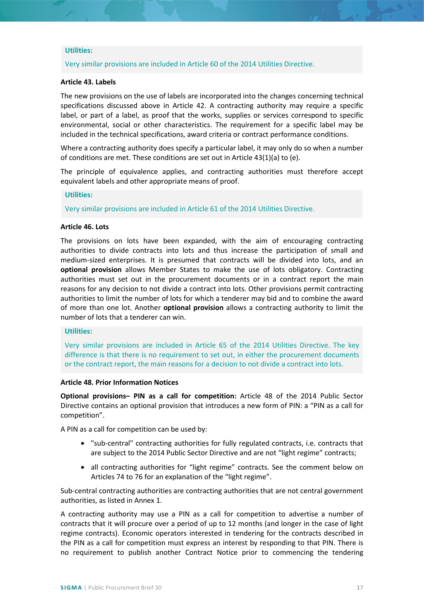## **Utilities:**

Very similar provisions are included in Article 60 of the 2014 Utilities Directive.

## **Article 43. Labels**

The new provisions on the use of labels are incorporated into the changes concerning technical specifications discussed above in Article 42. A contracting authority may require a specific label, or part of a label, as proof that the works, supplies or services correspond to specific environmental, social or other characteristics. The requirement for a specific label may be included in the technical specifications, award criteria or contract performance conditions.

Where a contracting authority does specify a particular label, it may only do so when a number of conditions are met. These conditions are set out in Article 43(1)(a) to (e).

The principle of equivalence applies, and contracting authorities must therefore accept equivalent labels and other appropriate means of proof.

#### **Utilities:**

Very similar provisions are included in Article 61 of the 2014 Utilities Directive.

#### **Article 46. Lots**

The provisions on lots have been expanded, with the aim of encouraging contracting authorities to divide contracts into lots and thus increase the participation of small and medium-sized enterprises. It is presumed that contracts will be divided into lots, and an **optional provision** allows Member States to make the use of lots obligatory. Contracting authorities must set out in the procurement documents or in a contract report the main reasons for any decision to not divide a contract into lots. Other provisions permit contracting authorities to limit the number of lots for which a tenderer may bid and to combine the award of more than one lot. Another **optional provision** allows a contracting authority to limit the number of lots that a tenderer can win.

## **Utilities:**

Very similar provisions are included in Article 65 of the 2014 Utilities Directive. The key difference is that there is no requirement to set out, in either the procurement documents or the contract report, the main reasons for a decision to not divide a contract into lots.

#### **Article 48. Prior Information Notices**

**Optional provisions– PIN as a call for competition:** Article 48 of the 2014 Public Sector Directive contains an optional provision that introduces a new form of PIN: a "PIN as a call for competition".

A PIN as a call for competition can be used by:

- "sub-central" contracting authorities for fully regulated contracts, i.e. contracts that are subject to the 2014 Public Sector Directive and are not "light regime" contracts;
- all contracting authorities for "light regime" contracts. See the comment below on Articles 74 to 76 for an explanation of the "light regime".

Sub-central contracting authorities are contracting authorities that are not central government authorities, as listed in Annex 1.

A contracting authority may use a PIN as a call for competition to advertise a number of contracts that it will procure over a period of up to 12 months (and longer in the case of light regime contracts). Economic operators interested in tendering for the contracts described in the PIN as a call for competition must express an interest by responding to that PIN. There is no requirement to publish another Contract Notice prior to commencing the tendering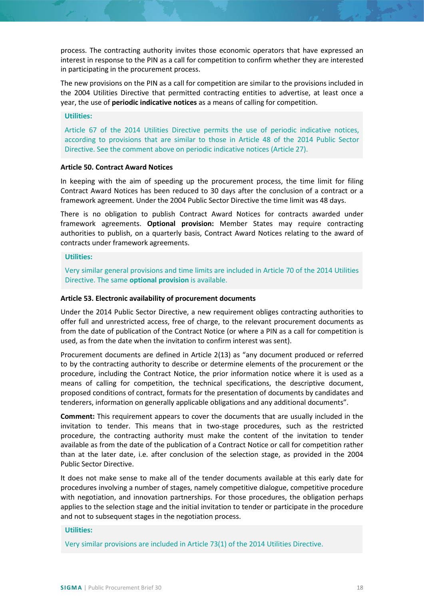process. The contracting authority invites those economic operators that have expressed an interest in response to the PIN as a call for competition to confirm whether they are interested in participating in the procurement process.

The new provisions on the PIN as a call for competition are similar to the provisions included in the 2004 Utilities Directive that permitted contracting entities to advertise, at least once a year, the use of **periodic indicative notices** as a means of calling for competition.

## **Utilities:**

Article 67 of the 2014 Utilities Directive permits the use of periodic indicative notices, according to provisions that are similar to those in Article 48 of the 2014 Public Sector Directive. See the comment above on periodic indicative notices (Article 27).

# **Article 50. Contract Award Notices**

In keeping with the aim of speeding up the procurement process, the time limit for filing Contract Award Notices has been reduced to 30 days after the conclusion of a contract or a framework agreement. Under the 2004 Public Sector Directive the time limit was 48 days.

There is no obligation to publish Contract Award Notices for contracts awarded under framework agreements. **Optional provision:** Member States may require contracting authorities to publish, on a quarterly basis, Contract Award Notices relating to the award of contracts under framework agreements.

## **Utilities:**

Very similar general provisions and time limits are included in Article 70 of the 2014 Utilities Directive. The same **optional provision** is available.

#### **Article 53. Electronic availability of procurement documents**

Under the 2014 Public Sector Directive, a new requirement obliges contracting authorities to offer full and unrestricted access, free of charge, to the relevant procurement documents as from the date of publication of the Contract Notice (or where a PIN as a call for competition is used, as from the date when the invitation to confirm interest was sent).

Procurement documents are defined in Article 2(13) as "any document produced or referred to by the contracting authority to describe or determine elements of the procurement or the procedure, including the Contract Notice, the prior information notice where it is used as a means of calling for competition, the technical specifications, the descriptive document, proposed conditions of contract, formats for the presentation of documents by candidates and tenderers, information on generally applicable obligations and any additional documents".

**Comment:** This requirement appears to cover the documents that are usually included in the invitation to tender. This means that in two-stage procedures, such as the restricted procedure, the contracting authority must make the content of the invitation to tender available as from the date of the publication of a Contract Notice or call for competition rather than at the later date, i.e. after conclusion of the selection stage, as provided in the 2004 Public Sector Directive.

It does not make sense to make all of the tender documents available at this early date for procedures involving a number of stages, namely competitive dialogue, competitive procedure with negotiation, and innovation partnerships. For those procedures, the obligation perhaps applies to the selection stage and the initial invitation to tender or participate in the procedure and not to subsequent stages in the negotiation process.

#### **Utilities:**

Very similar provisions are included in Article 73(1) of the 2014 Utilities Directive.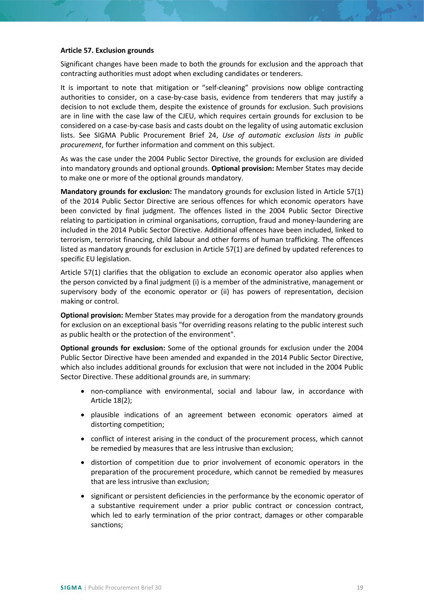## **Article 57. Exclusion grounds**

Significant changes have been made to both the grounds for exclusion and the approach that contracting authorities must adopt when excluding candidates or tenderers.

It is important to note that mitigation or "self-cleaning" provisions now oblige contracting authorities to consider, on a case-by-case basis, evidence from tenderers that may justify a decision to not exclude them, despite the existence of grounds for exclusion. Such provisions are in line with the case law of the CJEU, which requires certain grounds for exclusion to be considered on a case-by-case basis and casts doubt on the legality of using automatic exclusion lists. See SIGMA Public Procurement Brief 24, *Use of automatic exclusion lists in public procurement*, for further information and comment on this subject.

As was the case under the 2004 Public Sector Directive, the grounds for exclusion are divided into mandatory grounds and optional grounds. **Optional provision:** Member States may decide to make one or more of the optional grounds mandatory.

**Mandatory grounds for exclusion:** The mandatory grounds for exclusion listed in Article 57(1) of the 2014 Public Sector Directive are serious offences for which economic operators have been convicted by final judgment. The offences listed in the 2004 Public Sector Directive relating to participation in criminal organisations, corruption, fraud and money-laundering are included in the 2014 Public Sector Directive. Additional offences have been included, linked to terrorism, terrorist financing, child labour and other forms of human trafficking. The offences listed as mandatory grounds for exclusion in Article 57(1) are defined by updated references to specific EU legislation.

Article 57(1) clarifies that the obligation to exclude an economic operator also applies when the person convicted by a final judgment (i) is a member of the administrative, management or supervisory body of the economic operator or (ii) has powers of representation, decision making or control.

**Optional provision:** Member States may provide for a derogation from the mandatory grounds for exclusion on an exceptional basis "for overriding reasons relating to the public interest such as public health or the protection of the environment".

**Optional grounds for exclusion:** Some of the optional grounds for exclusion under the 2004 Public Sector Directive have been amended and expanded in the 2014 Public Sector Directive, which also includes additional grounds for exclusion that were not included in the 2004 Public Sector Directive. These additional grounds are, in summary:

- non-compliance with environmental, social and labour law, in accordance with Article 18(2);
- plausible indications of an agreement between economic operators aimed at distorting competition;
- conflict of interest arising in the conduct of the procurement process, which cannot be remedied by measures that are less intrusive than exclusion;
- distortion of competition due to prior involvement of economic operators in the preparation of the procurement procedure, which cannot be remedied by measures that are less intrusive than exclusion;
- significant or persistent deficiencies in the performance by the economic operator of a substantive requirement under a prior public contract or concession contract, which led to early termination of the prior contract, damages or other comparable sanctions;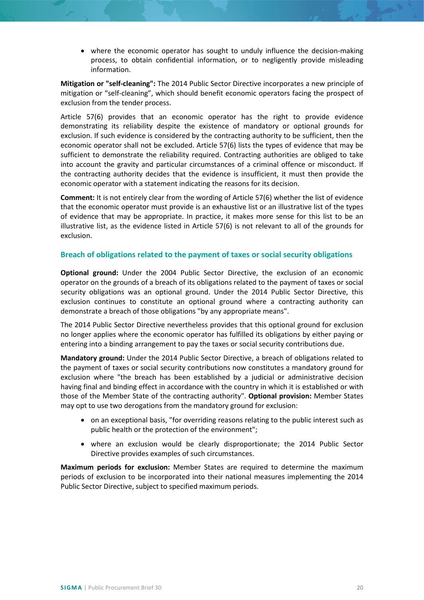• where the economic operator has sought to unduly influence the decision-making process, to obtain confidential information, or to negligently provide misleading information.

**Mitigation or "self-cleaning":** The 2014 Public Sector Directive incorporates a new principle of mitigation or "self-cleaning", which should benefit economic operators facing the prospect of exclusion from the tender process.

Article 57(6) provides that an economic operator has the right to provide evidence demonstrating its reliability despite the existence of mandatory or optional grounds for exclusion. If such evidence is considered by the contracting authority to be sufficient, then the economic operator shall not be excluded. Article 57(6) lists the types of evidence that may be sufficient to demonstrate the reliability required. Contracting authorities are obliged to take into account the gravity and particular circumstances of a criminal offence or misconduct. If the contracting authority decides that the evidence is insufficient, it must then provide the economic operator with a statement indicating the reasons for its decision.

**Comment:** It is not entirely clear from the wording of Article 57(6) whether the list of evidence that the economic operator must provide is an exhaustive list or an illustrative list of the types of evidence that may be appropriate. In practice, it makes more sense for this list to be an illustrative list, as the evidence listed in Article 57(6) is not relevant to all of the grounds for exclusion.

# <span id="page-19-0"></span>**Breach of obligations related to the payment of taxes or social security obligations**

**Optional ground:** Under the 2004 Public Sector Directive, the exclusion of an economic operator on the grounds of a breach of its obligations related to the payment of taxes or social security obligations was an optional ground. Under the 2014 Public Sector Directive, this exclusion continues to constitute an optional ground where a contracting authority can demonstrate a breach of those obligations "by any appropriate means".

The 2014 Public Sector Directive nevertheless provides that this optional ground for exclusion no longer applies where the economic operator has fulfilled its obligations by either paying or entering into a binding arrangement to pay the taxes or social security contributions due.

**Mandatory ground:** Under the 2014 Public Sector Directive, a breach of obligations related to the payment of taxes or social security contributions now constitutes a mandatory ground for exclusion where "the breach has been established by a judicial or administrative decision having final and binding effect in accordance with the country in which it is established or with those of the Member State of the contracting authority". **Optional provision:** Member States may opt to use two derogations from the mandatory ground for exclusion:

- on an exceptional basis, "for overriding reasons relating to the public interest such as public health or the protection of the environment";
- where an exclusion would be clearly disproportionate; the 2014 Public Sector Directive provides examples of such circumstances.

**Maximum periods for exclusion:** Member States are required to determine the maximum periods of exclusion to be incorporated into their national measures implementing the 2014 Public Sector Directive, subject to specified maximum periods.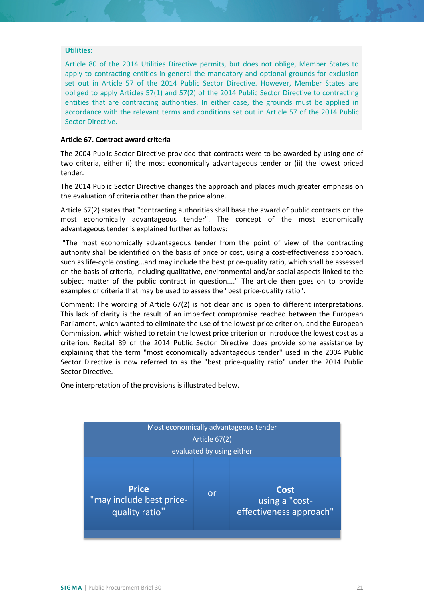#### **Utilities:**

Article 80 of the 2014 Utilities Directive permits, but does not oblige, Member States to apply to contracting entities in general the mandatory and optional grounds for exclusion set out in Article 57 of the 2014 Public Sector Directive. However, Member States are obliged to apply Articles 57(1) and 57(2) of the 2014 Public Sector Directive to contracting entities that are contracting authorities. In either case, the grounds must be applied in accordance with the relevant terms and conditions set out in Article 57 of the 2014 Public Sector Directive.

## **Article 67. Contract award criteria**

The 2004 Public Sector Directive provided that contracts were to be awarded by using one of two criteria, either (i) the most economically advantageous tender or (ii) the lowest priced tender.

The 2014 Public Sector Directive changes the approach and places much greater emphasis on the evaluation of criteria other than the price alone.

Article 67(2) states that "contracting authorities shall base the award of public contracts on the most economically advantageous tender". The concept of the most economically advantageous tender is explained further as follows:

"The most economically advantageous tender from the point of view of the contracting authority shall be identified on the basis of price or cost, using a cost-effectiveness approach, such as life-cycle costing...and may include the best price-quality ratio, which shall be assessed on the basis of criteria, including qualitative, environmental and/or social aspects linked to the subject matter of the public contract in question...." The article then goes on to provide examples of criteria that may be used to assess the "best price-quality ratio".

Comment: The wording of Article 67(2) is not clear and is open to different interpretations. This lack of clarity is the result of an imperfect compromise reached between the European Parliament, which wanted to eliminate the use of the lowest price criterion, and the European Commission, which wished to retain the lowest price criterion or introduce the lowest cost as a criterion. Recital 89 of the 2014 Public Sector Directive does provide some assistance by explaining that the term "most economically advantageous tender" used in the 2004 Public Sector Directive is now referred to as the "best price-quality ratio" under the 2014 Public Sector Directive.

One interpretation of the provisions is illustrated below.

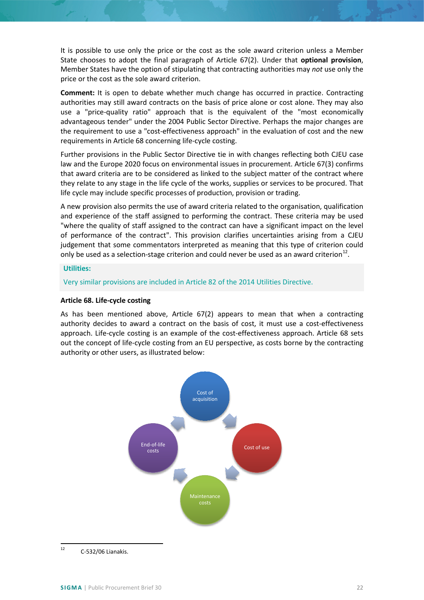It is possible to use only the price or the cost as the sole award criterion unless a Member State chooses to adopt the final paragraph of Article 67(2). Under that **optional provision**, Member States have the option of stipulating that contracting authorities may *not* use only the price or the cost as the sole award criterion.

**Comment:** It is open to debate whether much change has occurred in practice. Contracting authorities may still award contracts on the basis of price alone or cost alone. They may also use a "price-quality ratio" approach that is the equivalent of the "most economically advantageous tender" under the 2004 Public Sector Directive. Perhaps the major changes are the requirement to use a "cost-effectiveness approach" in the evaluation of cost and the new requirements in Article 68 concerning life-cycle costing.

Further provisions in the Public Sector Directive tie in with changes reflecting both CJEU case law and the Europe 2020 focus on environmental issues in procurement. Article 67(3) confirms that award criteria are to be considered as linked to the subject matter of the contract where they relate to any stage in the life cycle of the works, supplies or services to be procured. That life cycle may include specific processes of production, provision or trading.

A new provision also permits the use of award criteria related to the organisation, qualification and experience of the staff assigned to performing the contract. These criteria may be used "where the quality of staff assigned to the contract can have a significant impact on the level of performance of the contract". This provision clarifies uncertainties arising from a CJEU judgement that some commentators interpreted as meaning that this type of criterion could only be used as a selection-stage criterion and could never be used as an award criterion<sup>[12](#page-21-0)</sup>.

## **Utilities:**

Very similar provisions are included in Article 82 of the 2014 Utilities Directive.

# **Article 68. Life-cycle costing**

As has been mentioned above, Article 67(2) appears to mean that when a contracting authority decides to award a contract on the basis of cost, it must use a cost-effectiveness approach. Life-cycle costing is an example of the cost-effectiveness approach. Article 68 sets out the concept of life-cycle costing from an EU perspective, as costs borne by the contracting authority or other users, as illustrated below:



<span id="page-21-0"></span> $12$  C-532/06 Lianakis.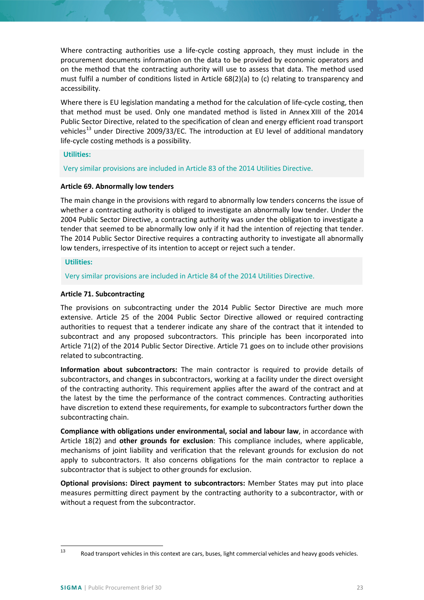Where contracting authorities use a life-cycle costing approach, they must include in the procurement documents information on the data to be provided by economic operators and on the method that the contracting authority will use to assess that data. The method used must fulfil a number of conditions listed in Article 68(2)(a) to (c) relating to transparency and accessibility.

Where there is EU legislation mandating a method for the calculation of life-cycle costing, then that method must be used. Only one mandated method is listed in Annex XIII of the 2014 Public Sector Directive, related to the specification of clean and energy efficient road transport vehicles<sup>[13](#page-22-0)</sup> under Directive 2009/33/EC. The introduction at EU level of additional mandatory life-cycle costing methods is a possibility.

## **Utilities:**

Very similar provisions are included in Article 83 of the 2014 Utilities Directive.

## **Article 69. Abnormally low tenders**

The main change in the provisions with regard to abnormally low tenders concerns the issue of whether a contracting authority is obliged to investigate an abnormally low tender. Under the 2004 Public Sector Directive, a contracting authority was under the obligation to investigate a tender that seemed to be abnormally low only if it had the intention of rejecting that tender. The 2014 Public Sector Directive requires a contracting authority to investigate all abnormally low tenders, irrespective of its intention to accept or reject such a tender.

## **Utilities:**

Very similar provisions are included in Article 84 of the 2014 Utilities Directive.

## **Article 71. Subcontracting**

The provisions on subcontracting under the 2014 Public Sector Directive are much more extensive. Article 25 of the 2004 Public Sector Directive allowed or required contracting authorities to request that a tenderer indicate any share of the contract that it intended to subcontract and any proposed subcontractors. This principle has been incorporated into Article 71(2) of the 2014 Public Sector Directive. Article 71 goes on to include other provisions related to subcontracting.

**Information about subcontractors:** The main contractor is required to provide details of subcontractors, and changes in subcontractors, working at a facility under the direct oversight of the contracting authority. This requirement applies after the award of the contract and at the latest by the time the performance of the contract commences. Contracting authorities have discretion to extend these requirements, for example to subcontractors further down the subcontracting chain.

**Compliance with obligations under environmental, social and labour law**, in accordance with Article 18(2) and **other grounds for exclusion**: This compliance includes, where applicable, mechanisms of joint liability and verification that the relevant grounds for exclusion do not apply to subcontractors. It also concerns obligations for the main contractor to replace a subcontractor that is subject to other grounds for exclusion.

**Optional provisions: Direct payment to subcontractors:** Member States may put into place measures permitting direct payment by the contracting authority to a subcontractor, with or without a request from the subcontractor.

<span id="page-22-0"></span><sup>13</sup> Road transport vehicles in this context are cars, buses, light commercial vehicles and heavy goods vehicles.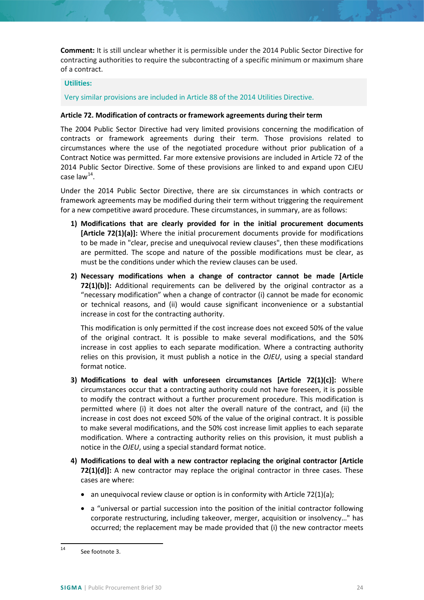**Comment:** It is still unclear whether it is permissible under the 2014 Public Sector Directive for contracting authorities to require the subcontracting of a specific minimum or maximum share of a contract.

## **Utilities:**

Very similar provisions are included in Article 88 of the 2014 Utilities Directive.

## **Article 72. Modification of contracts or framework agreements during their term**

The 2004 Public Sector Directive had very limited provisions concerning the modification of contracts or framework agreements during their term. Those provisions related to circumstances where the use of the negotiated procedure without prior publication of a Contract Notice was permitted. Far more extensive provisions are included in Article 72 of the 2014 Public Sector Directive. Some of these provisions are linked to and expand upon CJEU case law $^{14}$  $^{14}$  $^{14}$ .

Under the 2014 Public Sector Directive, there are six circumstances in which contracts or framework agreements may be modified during their term without triggering the requirement for a new competitive award procedure. These circumstances, in summary, are as follows:

- **1) Modifications that are clearly provided for in the initial procurement documents [Article 72(1)(a)]:** Where the initial procurement documents provide for modifications to be made in "clear, precise and unequivocal review clauses", then these modifications are permitted. The scope and nature of the possible modifications must be clear, as must be the conditions under which the review clauses can be used.
- **2) Necessary modifications when a change of contractor cannot be made [Article 72(1)(b)]:** Additional requirements can be delivered by the original contractor as a "necessary modification" when a change of contractor (i) cannot be made for economic or technical reasons, and (ii) would cause significant inconvenience or a substantial increase in cost for the contracting authority.

This modification is only permitted if the cost increase does not exceed 50% of the value of the original contract. It is possible to make several modifications, and the 50% increase in cost applies to each separate modification. Where a contracting authority relies on this provision, it must publish a notice in the *OJEU*, using a special standard format notice.

- **3) Modifications to deal with unforeseen circumstances [Article 72(1)(c)]:** Where circumstances occur that a contracting authority could not have foreseen, it is possible to modify the contract without a further procurement procedure. This modification is permitted where (i) it does not alter the overall nature of the contract, and (ii) the increase in cost does not exceed 50% of the value of the original contract. It is possible to make several modifications, and the 50% cost increase limit applies to each separate modification. Where a contracting authority relies on this provision, it must publish a notice in the *OJEU*, using a special standard format notice.
- **4) Modifications to deal with a new contractor replacing the original contractor [Article 72(1)(d)]:** A new contractor may replace the original contractor in three cases. These cases are where:
	- an unequivocal review clause or option is in conformity with Article 72(1)(a);
	- a "universal or partial succession into the position of the initial contractor following corporate restructuring, including takeover, merger, acquisition or insolvency…" has occurred; the replacement may be made provided that (i) the new contractor meets

<span id="page-23-0"></span><sup>14</sup> See footnote 3.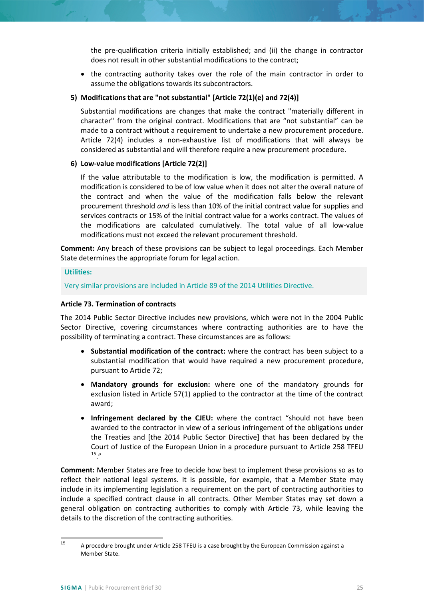the pre-qualification criteria initially established; and (ii) the change in contractor does not result in other substantial modifications to the contract;

• the contracting authority takes over the role of the main contractor in order to assume the obligations towards its subcontractors.

## **5) Modifications that are "not substantial" [Article 72(1)(e) and 72(4)]**

Substantial modifications are changes that make the contract "materially different in character" from the original contract. Modifications that are "not substantial" can be made to a contract without a requirement to undertake a new procurement procedure. Article 72(4) includes a non-exhaustive list of modifications that will always be considered as substantial and will therefore require a new procurement procedure.

## **6) Low-value modifications [Article 72(2)]**

If the value attributable to the modification is low, the modification is permitted. A modification is considered to be of low value when it does not alter the overall nature of the contract and when the value of the modification falls below the relevant procurement threshold *and* is less than 10% of the initial contract value for supplies and services contracts or 15% of the initial contract value for a works contract. The values of the modifications are calculated cumulatively. The total value of all low-value modifications must not exceed the relevant procurement threshold.

**Comment:** Any breach of these provisions can be subject to legal proceedings. Each Member State determines the appropriate forum for legal action.

## **Utilities:**

Very similar provisions are included in Article 89 of the 2014 Utilities Directive.

## **Article 73. Termination of contracts**

The 2014 Public Sector Directive includes new provisions, which were not in the 2004 Public Sector Directive, covering circumstances where contracting authorities are to have the possibility of terminating a contract. These circumstances are as follows:

- **Substantial modification of the contract:** where the contract has been subject to a substantial modification that would have required a new procurement procedure, pursuant to Article 72;
- **Mandatory grounds for exclusion:** where one of the mandatory grounds for exclusion listed in Article 57(1) applied to the contractor at the time of the contract award;
- **Infringement declared by the CJEU:** where the contract "should not have been awarded to the contractor in view of a serious infringement of the obligations under the Treaties and [the 2014 Public Sector Directive] that has been declared by the [Co](#page-24-0)urt of Justice of the European Union in a procedure pursuant to Article 258 TFEU [15](#page-24-0)  $''$

**Comment:** Member States are free to decide how best to implement these provisions so as to reflect their national legal systems. It is possible, for example, that a Member State may include in its implementing legislation a requirement on the part of contracting authorities to include a specified contract clause in all contracts. Other Member States may set down a general obligation on contracting authorities to comply with Article 73, while leaving the details to the discretion of the contracting authorities.

<span id="page-24-0"></span><sup>&</sup>lt;sup>15</sup> A procedure brought under Article 258 TFEU is a case brought by the European Commission against a Member State.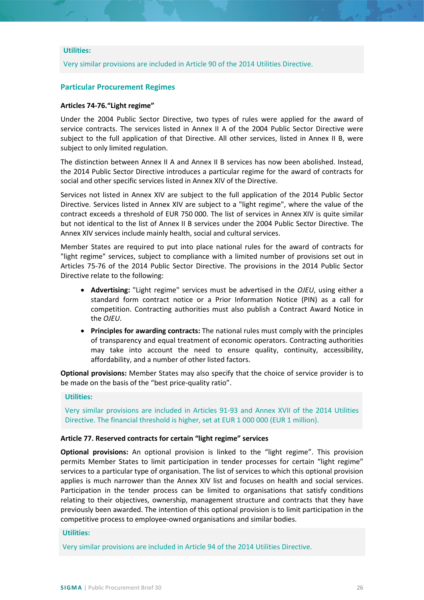## **Utilities:**

Very similar provisions are included in Article 90 of the 2014 Utilities Directive.

## **Particular Procurement Regimes**

#### **Articles 74-76."Light regime"**

Under the 2004 Public Sector Directive, two types of rules were applied for the award of service contracts. The services listed in Annex II A of the 2004 Public Sector Directive were subject to the full application of that Directive. All other services, listed in Annex II B, were subject to only limited regulation.

The distinction between Annex II A and Annex II B services has now been abolished. Instead, the 2014 Public Sector Directive introduces a particular regime for the award of contracts for social and other specific services listed in Annex XIV of the Directive.

Services not listed in Annex XIV are subject to the full application of the 2014 Public Sector Directive. Services listed in Annex XIV are subject to a "light regime", where the value of the contract exceeds a threshold of EUR 750 000. The list of services in Annex XIV is quite similar but not identical to the list of Annex II B services under the 2004 Public Sector Directive. The Annex XIV services include mainly health, social and cultural services.

Member States are required to put into place national rules for the award of contracts for "light regime" services, subject to compliance with a limited number of provisions set out in Articles 75-76 of the 2014 Public Sector Directive. The provisions in the 2014 Public Sector Directive relate to the following:

- **Advertising:** "Light regime" services must be advertised in the *OJEU*, using either a standard form contract notice or a Prior Information Notice (PIN) as a call for competition. Contracting authorities must also publish a Contract Award Notice in the *OJEU*.
- **Principles for awarding contracts:** The national rules must comply with the principles of transparency and equal treatment of economic operators. Contracting authorities may take into account the need to ensure quality, continuity, accessibility, affordability, and a number of other listed factors.

**Optional provisions:** Member States may also specify that the choice of service provider is to be made on the basis of the "best price-quality ratio".

#### **Utilities:**

Very similar provisions are included in Articles 91-93 and Annex XVII of the 2014 Utilities Directive. The financial threshold is higher, set at EUR 1 000 000 (EUR 1 million).

#### **Article 77. Reserved contracts for certain "light regime" services**

**Optional provisions:** An optional provision is linked to the "light regime". This provision permits Member States to limit participation in tender processes for certain "light regime" services to a particular type of organisation. The list of services to which this optional provision applies is much narrower than the Annex XIV list and focuses on health and social services. Participation in the tender process can be limited to organisations that satisfy conditions relating to their objectives, ownership, management structure and contracts that they have previously been awarded. The intention of this optional provision is to limit participation in the competitive process to employee-owned organisations and similar bodies.

## **Utilities:**

Very similar provisions are included in Article 94 of the 2014 Utilities Directive.